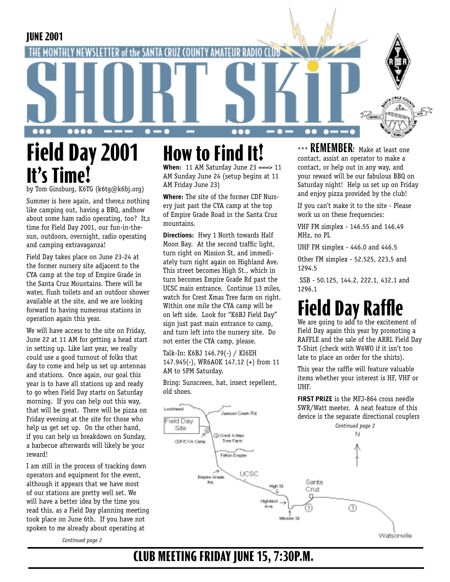**JUNE 2001**



by Tom Ginsburg, K6TG (k6tg@k6bj.org)

Summer is here again, and there,s nothing like camping out, having a BBQ, andhow about some ham radio operating, too? It,s time for Field Day 2001, our fun-in-thesun, outdoors, overnight, radio operating and camping extravaganza!

Field Day takes place on June 23-24 at the former nursery site adjacent to the CYA camp at the top of Empire Grade in the Santa Cruz Mountains. There will be water, flush toilets and an outdoor shower available at the site, and we are looking forward to having numerous stations in operation again this year.

We will have access to the site on Friday, June 22 at 11 AM for getting a head start in setting up. Like last year, we really could use a good turnout of folks that day to come and help us set up antennas and stations. Once again, our goal this year is to have all stations up and ready to go when Field Day starts on Saturday morning. If you can help out this way, that will be great. There will be pizza on Friday evening at the site for those who help us get set up. On the other hand, if you can help us breakdown on Sunday, a barbecue afterwards will likely be your reward!

I am still in the process of tracking down operators and equipment for the event, although it appears that we have most of our stations are pretty well set. We will have a better idea by the time you read this, as a Field Day planning meeting took place on June 6th. If you have not spoken to me already about operating at

*Continued page 2*

# **How to Find It!**

**When:** 11 AM Saturday June 23 ===> 11 AM Sunday June 24 (setup begins at 11 AM Friday June 23)

**Where:** The site of the former CDF Nursery just past the CYA camp at the top of Empire Grade Road in the Santa Cruz mountains.

**Directions:** Hwy 1 North towards Half Moon Bay. At the second traffic light, turn right on Mission St, and immediately turn right again on Highland Ave. This street becomes High St., which in turn becomes Empire Grade Rd past the UCSC main entrance. Continue 13 miles, watch for Crest Xmas Tree farm on right. Within one mile the CYA camp will be on left side. Look for "K6BJ Field Day" sign just past main entrance to camp, and turn left into the nursery site. Do not enter the CYA camp, please.

Talk-In: K6BJ 146.79(-) / KI6EH 147.945(-), WR6AOK 147.12 (+) from 11 AM to 5PM Saturday.

Bring: Sunscreen, hat, insect repellent, old shoes.

**Janizan Creek Rd** 

Lockheed

\*\*\* **REMEMBER!** Make at least one contact, assist an operator to make a contact, or help out in any way, and your reward will be our fabulous BBQ on Saturday night! Help us set up on Friday and enjoy pizza provided by the club!

 $\bullet$   $-$ 

If you can't make it to the site - Please work us on these frequencies:

VHF FM simplex - 146.55 and 146.49 MHz, no PL

UHF FM simplex - 446.0 and 446.5

Other FM simplex - 52.525, 223.5 and 1294.5

 SSB - 50.125, 144.2, 222.1, 432.1 and 1296.1

# **Field Day Rat**

We are going to add to the excitement of Field Day again this year by promoting a RAFFLE and the sale of the ARRL Field Day T-Shirt (check with W6WO if it isn't too late to place an order for the shirts).

This year the raffle will feature valuable items whether your interest is HF, VHF or UHF.

**FIRST PRIZE** is the MFJ-864 cross needle SWR/Watt meeter. A neat feature of this device is the separate directional couplers



**CLUB MEETING FRIDAY JUNE 15, 7:30P.M.**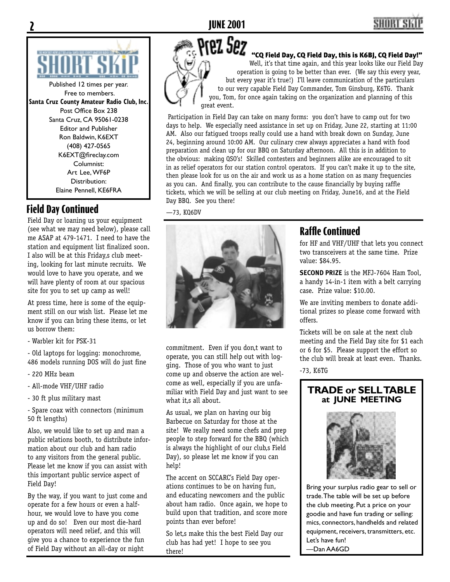

Published 12 times per year. Free to members. **Santa Cruz County Amateur Radio Club, Inc.** Post Office Box 238 Santa Cruz, CA 95061-0238 Editor and Publisher Ron Baldwin, K6EXT (408) 427-0565 K6EXT@fireclay.com Columnist: Art Lee, WF6P Distribution: Elaine Pennell, KE6FRA

## **Field Day Continued**

Field Day or loaning us your equipment (see what we may need below), please call me ASAP at 479-1471. I need to have the station and equipment list finalized soon. I also will be at this Friday, s club meeting, looking for last minute recruits. We would love to have you operate, and we will have plenty of room at our spacious site for you to set up camp as well!

At press time, here is some of the equipment still on our wish list. Please let me know if you can bring these items, or let us borrow them:

- Warbler kit for PSK-31

- Old laptops for logging: monochrome, 486 models running DOS will do just fine

- 220 MHz beam
- All-mode VHF/UHF radio
- 30 ft plus military mast

- Spare coax with connectors (minimum 50 ft lengths)

Also, we would like to set up and man a public relations booth, to distribute information about our club and ham radio to any visitors from the general public. Please let me know if you can assist with this important public service aspect of Field Day!

By the way, if you want to just come and operate for a few hours or even a halfhour, we would love to have you come up and do so! Even our most die-hard operators will need relief, and this will give you a chance to experience the fun of Field Day without an all-day or night



"CQ Field Day, CQ Field Day, this is K6BJ, CQ Field Day!" Well, it's that time again, and this year looks like our Field Day

operation is going to be better than ever. (We say this every year, but every year it's true!) I'll leave communication of the particulars to our very capable Field Day Commander, Tom Ginsburg, K6TG. Thank you, Tom, for once again taking on the organization and planning of this great event.

Participation in Field Day can take on many forms: you don't have to camp out for two days to help. We especially need assistance in set up on Friday, June 22, starting at 11:00 AM. Also our fatigued troops really could use a hand with break down on Sunday, June 24, beginning around 10:00 AM. Our culinary crew always appreciates a hand with food preparation and clean up for our BBQ on Saturday afternoon. All this is in addition to the obvious: making QSO's! Skilled contesters and beginners alike are encouraged to sit in as relief operators for our station control operators. If you can't make it up to the site, then please look for us on the air and work us as a home station on as many frequencies as you can. And finally, you can contribute to the cause financially by buying raffle tickets, which we will be selling at our club meeting on Friday, June16, and at the Field Day BBQ. See you there!

—73, KQ6DV



commitment. Even if you don,t want to operate, you can still help out with logging. Those of you who want to just come up and observe the action are welcome as well, especially if you are unfamiliar with Field Day and just want to see what it,s all about.

As usual, we plan on having our big Barbecue on Saturday for those at the site! We really need some chefs and prep people to step forward for the BBQ (which is always the highlight of our club,s Field Day), so please let me know if you can help!

The accent on SCCARC's Field Day operations continues to be on having fun, and educating newcomers and the public about ham radio. Once again, we hope to build upon that tradition, and score more points than ever before!

So let,s make this the best Field Day our club has had yet! I hope to see you there!

## **Raffle Continued**

for HF and VHF/UHF that lets you connect two transceivers at the same time. Prize value: \$84.95.

**SECOND PRIZE** is the MFJ-7604 Ham Tool, a handy 14-in-1 item with a belt carrying case. Prize value: \$10.00.

We are inviting members to donate additional prizes so please come forward with offers.

Tickets will be on sale at the next club meeting and the Field Day site for \$1 each or 6 for \$5. Please support the effort so the club will break at least even. Thanks.

-73, K6TG

#### **TRADE or SELL TABLE at JUNE MEETING**



Bring your surplus radio gear to sell or trade. The table will be set up before the club meeting. Put a price on your goodie and have fun trading or selling: mics, connectors, handhelds and related equipment, receivers, transmitters, etc. Let's have fun!

—Dan AA6GD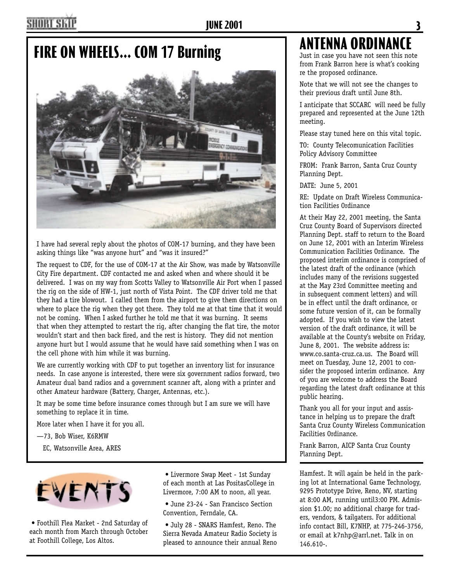# **FIRE ON WHEELS... COM 17 Burning**



I have had several reply about the photos of COM-17 burning, and they have been asking things like "was anyone hurt" and "was it insured?"

The request to CDF, for the use of COM-17 at the Air Show, was made by Watsonville City Fire department. CDF contacted me and asked when and where should it be delivered. I was on my way from Scotts Valley to Watsonville Air Port when I passed the rig on the side of HW-1, just north of Vista Point. The CDF driver told me that they had a tire blowout. I called them from the airport to give them directions on where to place the rig when they got there. They told me at that time that it would not be coming. When I asked further he told me that it was burning. It seems that when they attempted to restart the rig, after changing the flat tire, the motor wouldn't start and then back fired, and the rest is history. They did not mention anyone hurt but I would assume that he would have said something when I was on the cell phone with him while it was burning.

We are currently working with CDF to put together an inventory list for insurance needs. In case anyone is interested, there were six government radios forward, two Amateur dual band radios and a government scanner aft, along with a printer and other Amateur hardware (Battery, Charger, Antennas, etc.).

It may be some time before insurance comes through but I am sure we will have something to replace it in time.

More later when I have it for you all.

—73, Bob Wiser, K6RMW

EC, Watsonville Area, ARES



• Foothill Flea Market - 2nd Saturday of each month from March through October at Foothill College, Los Altos.

• Livermore Swap Meet - 1st Sunday of each month at Las PositasCollege in Livermore, 7:00 AM to noon, all year.

• June 23-24 - San Francisco Section Convention, Ferndale, CA.

• July 28 - SNARS Hamfest, Reno. The Sierra Nevada Amateur Radio Society is pleased to announce their annual Reno

# **ANTENNA ORDINANCE**

Just in case you have not seen this note from Frank Barron here is what's cooking re the proposed ordinance.

Note that we will not see the changes to their previous draft until June 8th.

I anticipate that SCCARC will need be fully prepared and represented at the June 12th meeting.

Please stay tuned here on this vital topic.

TO: County Telecomunication Facilities Policy Advisory Committee

FROM: Frank Barron, Santa Cruz County Planning Dept.

DATE: June 5, 2001

RE: Update on Draft Wireless Communication Facilities Ordinance

At their May 22, 2001 meeting, the Santa Cruz County Board of Supervisors directed Planning Dept. staff to return to the Board on June 12, 2001 with an Interim Wireless Communication Facilities Ordinance. The proposed interim ordinance is comprised of the latest draft of the ordinance (which includes many of the revisions suggested at the May 23rd Committee meeting and in subsequent comment letters) and will be in effect until the draft ordinance, or some future version of it, can be formally adopted. If you wish to view the latest version of the draft ordinance, it will be available at the County's website on Friday, June 8, 2001. The website address is: www.co.santa-cruz.ca.us. The Board will meet on Tuesday, June 12, 2001 to consider the proposed interim ordinance. Any of you are welcome to address the Board regarding the latest draft ordinance at this public hearing.

Thank you all for your input and assistance in helping us to prepare the draft Santa Cruz County Wireless Communication Facilities Ordinance.

Frank Barron, AICP Santa Cruz County Planning Dept.

Hamfest. It will again be held in the parking lot at International Game Technology, 9295 Prototype Drive, Reno, NV, starting at 8:00 AM, running until3:00 PM. Admission \$1.00; no additional charge for traders, vendors, & tailgaters. For additional info contact Bill, K7NHP, at 775-246-3756, or email at k7nhp@arrl.net. Talk in on 146.610-.